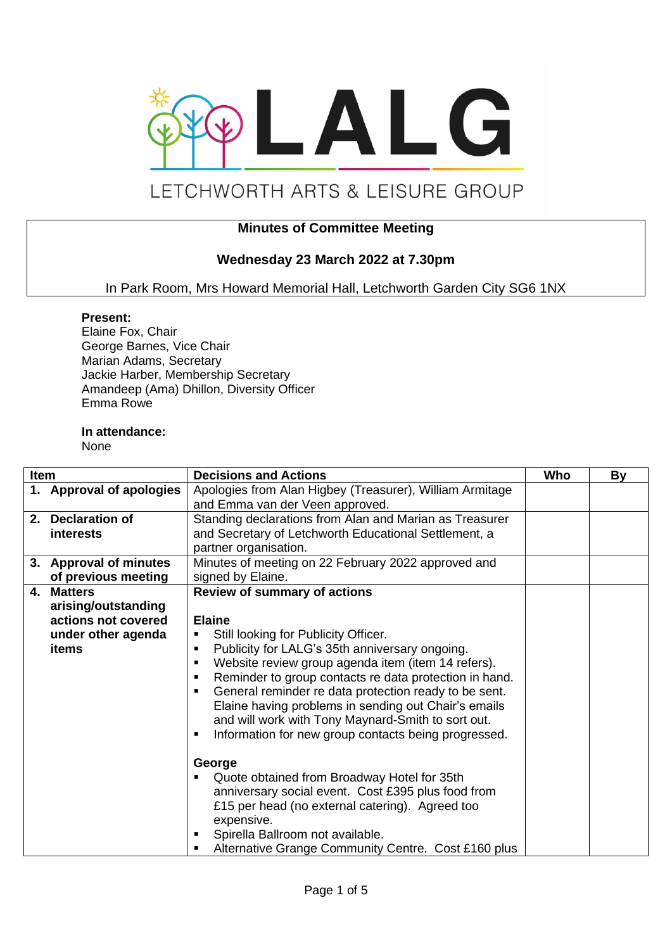

# LETCHWORTH ARTS & LEISURE GROUP

## **Minutes of Committee Meeting**

# **Wednesday 23 March 2022 at 7.30pm**

In Park Room, Mrs Howard Memorial Hall, Letchworth Garden City SG6 1NX

#### **Present:**

Elaine Fox, Chair George Barnes, Vice Chair Marian Adams, Secretary Jackie Harber, Membership Secretary Amandeep (Ama) Dhillon, Diversity Officer Emma Rowe

#### **In attendance:**

None

| Item |                                                                                         | <b>Decisions and Actions</b>                                                                                                                                                                                                                                                                                                                                                                                                                                                                                                                                                                                                                                                                                                                                                                         | Who | By |
|------|-----------------------------------------------------------------------------------------|------------------------------------------------------------------------------------------------------------------------------------------------------------------------------------------------------------------------------------------------------------------------------------------------------------------------------------------------------------------------------------------------------------------------------------------------------------------------------------------------------------------------------------------------------------------------------------------------------------------------------------------------------------------------------------------------------------------------------------------------------------------------------------------------------|-----|----|
|      | 1. Approval of apologies                                                                | Apologies from Alan Higbey (Treasurer), William Armitage<br>and Emma van der Veen approved.                                                                                                                                                                                                                                                                                                                                                                                                                                                                                                                                                                                                                                                                                                          |     |    |
|      | 2. Declaration of<br><i>interests</i>                                                   | Standing declarations from Alan and Marian as Treasurer<br>and Secretary of Letchworth Educational Settlement, a<br>partner organisation.                                                                                                                                                                                                                                                                                                                                                                                                                                                                                                                                                                                                                                                            |     |    |
|      | 3. Approval of minutes<br>of previous meeting                                           | Minutes of meeting on 22 February 2022 approved and<br>signed by Elaine.                                                                                                                                                                                                                                                                                                                                                                                                                                                                                                                                                                                                                                                                                                                             |     |    |
|      | 4. Matters<br>arising/outstanding<br>actions not covered<br>under other agenda<br>items | <b>Review of summary of actions</b><br><b>Elaine</b><br>Still looking for Publicity Officer.<br>Publicity for LALG's 35th anniversary ongoing.<br>٠<br>Website review group agenda item (item 14 refers).<br>$\blacksquare$<br>Reminder to group contacts re data protection in hand.<br>п<br>General reminder re data protection ready to be sent.<br>Elaine having problems in sending out Chair's emails<br>and will work with Tony Maynard-Smith to sort out.<br>Information for new group contacts being progressed.<br>George<br>Quote obtained from Broadway Hotel for 35th<br>anniversary social event. Cost £395 plus food from<br>£15 per head (no external catering). Agreed too<br>expensive.<br>Spirella Ballroom not available.<br>Alternative Grange Community Centre. Cost £160 plus |     |    |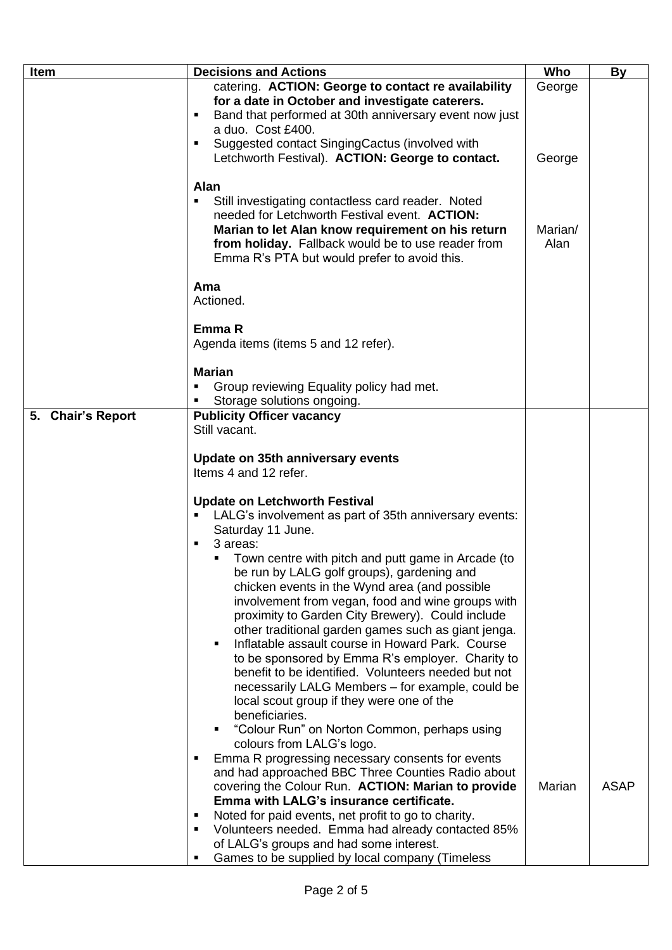| Item              | <b>Decisions and Actions</b>                                                                            | Who     | <b>By</b>   |
|-------------------|---------------------------------------------------------------------------------------------------------|---------|-------------|
|                   | catering. ACTION: George to contact re availability                                                     | George  |             |
|                   | for a date in October and investigate caterers.                                                         |         |             |
|                   | Band that performed at 30th anniversary event now just<br>٠                                             |         |             |
|                   | a duo. Cost £400.                                                                                       |         |             |
|                   | Suggested contact SingingCactus (involved with<br>$\blacksquare$                                        |         |             |
|                   | Letchworth Festival). ACTION: George to contact.                                                        | George  |             |
|                   |                                                                                                         |         |             |
|                   | <b>Alan</b>                                                                                             |         |             |
|                   | Still investigating contactless card reader. Noted<br>needed for Letchworth Festival event. ACTION:     |         |             |
|                   | Marian to let Alan know requirement on his return                                                       | Marian/ |             |
|                   | from holiday. Fallback would be to use reader from                                                      | Alan    |             |
|                   | Emma R's PTA but would prefer to avoid this.                                                            |         |             |
|                   |                                                                                                         |         |             |
|                   | Ama                                                                                                     |         |             |
|                   | Actioned.                                                                                               |         |             |
|                   |                                                                                                         |         |             |
|                   | Emma R                                                                                                  |         |             |
|                   | Agenda items (items 5 and 12 refer).                                                                    |         |             |
|                   | <b>Marian</b>                                                                                           |         |             |
|                   | Group reviewing Equality policy had met.<br>Е                                                           |         |             |
|                   | Storage solutions ongoing.                                                                              |         |             |
| 5. Chair's Report | <b>Publicity Officer vacancy</b>                                                                        |         |             |
|                   | Still vacant.                                                                                           |         |             |
|                   |                                                                                                         |         |             |
|                   | Update on 35th anniversary events<br>Items 4 and 12 refer.                                              |         |             |
|                   |                                                                                                         |         |             |
|                   | <b>Update on Letchworth Festival</b>                                                                    |         |             |
|                   | LALG's involvement as part of 35th anniversary events:<br>٠                                             |         |             |
|                   | Saturday 11 June.                                                                                       |         |             |
|                   | 3 areas:<br>$\blacksquare$                                                                              |         |             |
|                   | Town centre with pitch and putt game in Arcade (to<br>٠                                                 |         |             |
|                   | be run by LALG golf groups), gardening and                                                              |         |             |
|                   | chicken events in the Wynd area (and possible                                                           |         |             |
|                   | involvement from vegan, food and wine groups with                                                       |         |             |
|                   | proximity to Garden City Brewery). Could include                                                        |         |             |
|                   | other traditional garden games such as giant jenga.<br>Inflatable assault course in Howard Park. Course |         |             |
|                   | to be sponsored by Emma R's employer. Charity to                                                        |         |             |
|                   | benefit to be identified. Volunteers needed but not                                                     |         |             |
|                   | necessarily LALG Members - for example, could be                                                        |         |             |
|                   | local scout group if they were one of the                                                               |         |             |
|                   | beneficiaries.                                                                                          |         |             |
|                   | "Colour Run" on Norton Common, perhaps using                                                            |         |             |
|                   | colours from LALG's logo.                                                                               |         |             |
|                   | Emma R progressing necessary consents for events<br>Б                                                   |         |             |
|                   | and had approached BBC Three Counties Radio about<br>covering the Colour Run. ACTION: Marian to provide | Marian  | <b>ASAP</b> |
|                   | Emma with LALG's insurance certificate.                                                                 |         |             |
|                   | Noted for paid events, net profit to go to charity.<br>٠                                                |         |             |
|                   | Volunteers needed. Emma had already contacted 85%<br>$\blacksquare$                                     |         |             |
|                   | of LALG's groups and had some interest.                                                                 |         |             |
|                   | Games to be supplied by local company (Timeless<br>٠                                                    |         |             |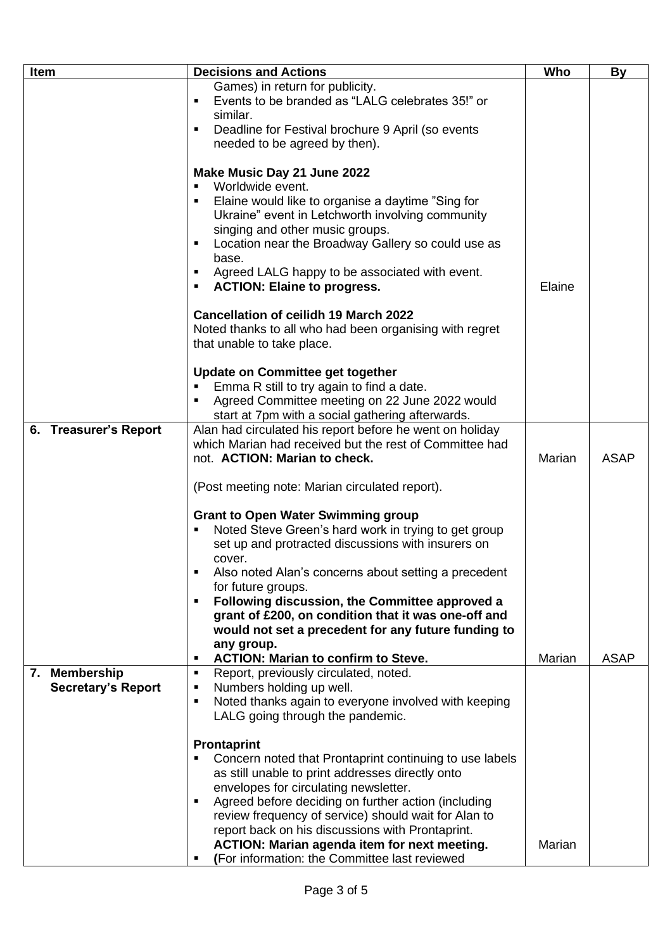| <b>Item</b>               | <b>Decisions and Actions</b>                                                                                |        | <b>By</b>   |
|---------------------------|-------------------------------------------------------------------------------------------------------------|--------|-------------|
|                           | Games) in return for publicity.                                                                             |        |             |
|                           | Events to be branded as "LALG celebrates 35!" or<br>٠                                                       |        |             |
|                           | similar.                                                                                                    |        |             |
|                           | Deadline for Festival brochure 9 April (so events<br>$\blacksquare$                                         |        |             |
|                           | needed to be agreed by then).                                                                               |        |             |
|                           |                                                                                                             |        |             |
|                           | Make Music Day 21 June 2022<br>Worldwide event.<br>$\blacksquare$                                           |        |             |
|                           | Elaine would like to organise a daytime "Sing for<br>$\blacksquare$                                         |        |             |
|                           | Ukraine" event in Letchworth involving community                                                            |        |             |
|                           | singing and other music groups.                                                                             |        |             |
|                           | Location near the Broadway Gallery so could use as<br>٠                                                     |        |             |
|                           | base.                                                                                                       |        |             |
|                           | Agreed LALG happy to be associated with event.<br>٠                                                         |        |             |
|                           | <b>ACTION: Elaine to progress.</b>                                                                          | Elaine |             |
|                           | <b>Cancellation of ceilidh 19 March 2022</b>                                                                |        |             |
|                           | Noted thanks to all who had been organising with regret                                                     |        |             |
|                           | that unable to take place.                                                                                  |        |             |
|                           |                                                                                                             |        |             |
|                           | Update on Committee get together                                                                            |        |             |
|                           | Emma R still to try again to find a date.                                                                   |        |             |
|                           | Agreed Committee meeting on 22 June 2022 would                                                              |        |             |
|                           | start at 7pm with a social gathering afterwards.                                                            |        |             |
| 6. Treasurer's Report     | Alan had circulated his report before he went on holiday                                                    |        |             |
|                           | which Marian had received but the rest of Committee had                                                     |        |             |
|                           | not. ACTION: Marian to check.                                                                               | Marian | <b>ASAP</b> |
|                           | (Post meeting note: Marian circulated report).                                                              |        |             |
|                           |                                                                                                             |        |             |
|                           | <b>Grant to Open Water Swimming group</b><br>Noted Steve Green's hard work in trying to get group           |        |             |
|                           | set up and protracted discussions with insurers on                                                          |        |             |
|                           | cover.                                                                                                      |        |             |
|                           | Also noted Alan's concerns about setting a precedent                                                        |        |             |
|                           | for future groups.                                                                                          |        |             |
|                           | Following discussion, the Committee approved a<br>$\blacksquare$                                            |        |             |
|                           | grant of £200, on condition that it was one-off and                                                         |        |             |
|                           | would not set a precedent for any future funding to                                                         |        |             |
|                           | any group.                                                                                                  |        |             |
| 7. Membership             | <b>ACTION: Marian to confirm to Steve.</b><br>Б<br>п                                                        | Marian | <b>ASAP</b> |
| <b>Secretary's Report</b> | Report, previously circulated, noted.<br>Numbers holding up well.<br>٠                                      |        |             |
|                           | Noted thanks again to everyone involved with keeping<br>п                                                   |        |             |
|                           | LALG going through the pandemic.                                                                            |        |             |
|                           |                                                                                                             |        |             |
|                           | <b>Prontaprint</b><br>Concern noted that Prontaprint continuing to use labels                               |        |             |
|                           |                                                                                                             |        |             |
|                           | as still unable to print addresses directly onto                                                            |        |             |
|                           | envelopes for circulating newsletter.<br>٠                                                                  |        |             |
|                           | Agreed before deciding on further action (including<br>review frequency of service) should wait for Alan to |        |             |
|                           | report back on his discussions with Prontaprint.                                                            |        |             |
|                           | <b>ACTION: Marian agenda item for next meeting.</b>                                                         | Marian |             |
|                           | (For information: the Committee last reviewed<br>٠                                                          |        |             |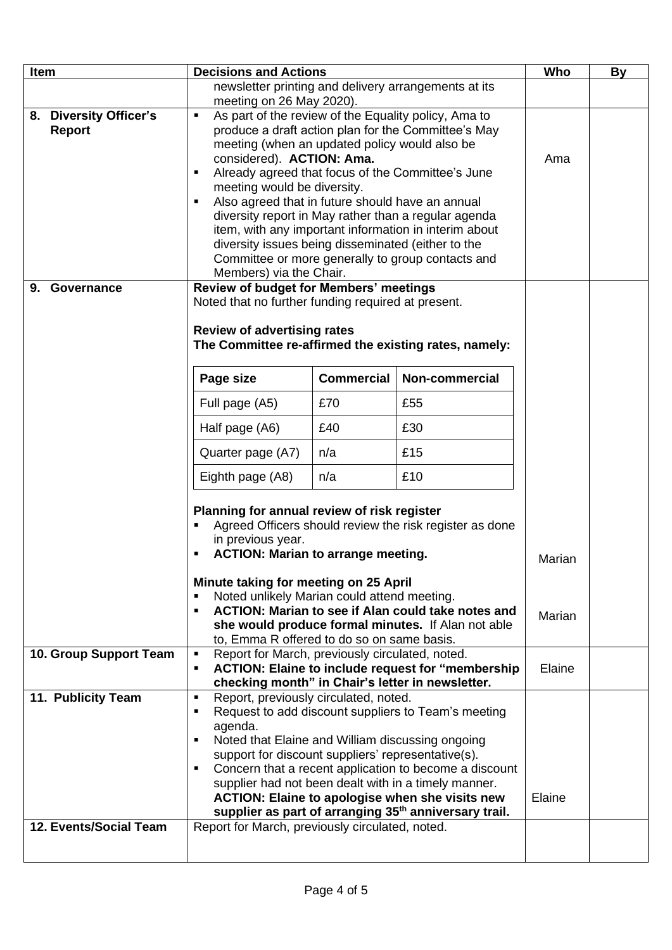| Item |                                                                                                  | <b>Decisions and Actions</b>                                                                                                                                                                                                                                                                                                                                                                                                                                                                                                                                  |                   |                  | Who    | By |
|------|--------------------------------------------------------------------------------------------------|---------------------------------------------------------------------------------------------------------------------------------------------------------------------------------------------------------------------------------------------------------------------------------------------------------------------------------------------------------------------------------------------------------------------------------------------------------------------------------------------------------------------------------------------------------------|-------------------|------------------|--------|----|
|      |                                                                                                  | newsletter printing and delivery arrangements at its<br>meeting on 26 May 2020).                                                                                                                                                                                                                                                                                                                                                                                                                                                                              |                   |                  |        |    |
|      | 8. Diversity Officer's<br><b>Report</b>                                                          | As part of the review of the Equality policy, Ama to<br>produce a draft action plan for the Committee's May<br>meeting (when an updated policy would also be<br>considered). ACTION: Ama.<br>Already agreed that focus of the Committee's June<br>meeting would be diversity.<br>Also agreed that in future should have an annual<br>diversity report in May rather than a regular agenda<br>item, with any important information in interim about<br>diversity issues being disseminated (either to the<br>Committee or more generally to group contacts and |                   |                  | Ama    |    |
|      | 9. Governance                                                                                    | Members) via the Chair.<br>Review of budget for Members' meetings                                                                                                                                                                                                                                                                                                                                                                                                                                                                                             |                   |                  |        |    |
|      |                                                                                                  | Noted that no further funding required at present.<br><b>Review of advertising rates</b><br>The Committee re-affirmed the existing rates, namely:                                                                                                                                                                                                                                                                                                                                                                                                             |                   |                  |        |    |
|      |                                                                                                  | Page size                                                                                                                                                                                                                                                                                                                                                                                                                                                                                                                                                     | <b>Commercial</b> | Non-commercial   |        |    |
|      |                                                                                                  | Full page (A5)                                                                                                                                                                                                                                                                                                                                                                                                                                                                                                                                                | £70               | £55              |        |    |
|      |                                                                                                  | Half page (A6)                                                                                                                                                                                                                                                                                                                                                                                                                                                                                                                                                | £40               | £30              |        |    |
|      |                                                                                                  | Quarter page (A7)                                                                                                                                                                                                                                                                                                                                                                                                                                                                                                                                             | n/a               | £15              |        |    |
|      |                                                                                                  | Eighth page (A8)                                                                                                                                                                                                                                                                                                                                                                                                                                                                                                                                              | n/a               | £10              |        |    |
|      |                                                                                                  | Planning for annual review of risk register<br>Agreed Officers should review the risk register as done<br>in previous year.<br><b>ACTION: Marian to arrange meeting.</b><br>Minute taking for meeting on 25 April<br>Noted unlikely Marian could attend meeting.<br>$\blacksquare$<br>ACTION: Marian to see if Alan could take notes and                                                                                                                                                                                                                      |                   | Marian<br>Marian |        |    |
|      | she would produce formal minutes. If Alan not able<br>to, Emma R offered to do so on same basis. |                                                                                                                                                                                                                                                                                                                                                                                                                                                                                                                                                               |                   |                  |        |    |
|      | 10. Group Support Team                                                                           | Report for March, previously circulated, noted.<br>$\blacksquare$<br><b>ACTION: Elaine to include request for "membership"</b><br>$\blacksquare$<br>checking month" in Chair's letter in newsletter.                                                                                                                                                                                                                                                                                                                                                          |                   |                  | Elaine |    |
|      | 11. Publicity Team                                                                               | Report, previously circulated, noted.<br>$\blacksquare$<br>Request to add discount suppliers to Team's meeting<br>$\blacksquare$<br>agenda.<br>Noted that Elaine and William discussing ongoing<br>support for discount suppliers' representative(s).<br>Concern that a recent application to become a discount<br>$\blacksquare$<br>supplier had not been dealt with in a timely manner.<br><b>ACTION: Elaine to apologise when she visits new</b><br>supplier as part of arranging 35 <sup>th</sup> anniversary trail.                                      |                   |                  | Elaine |    |
|      | 12. Events/Social Team                                                                           | Report for March, previously circulated, noted.                                                                                                                                                                                                                                                                                                                                                                                                                                                                                                               |                   |                  |        |    |